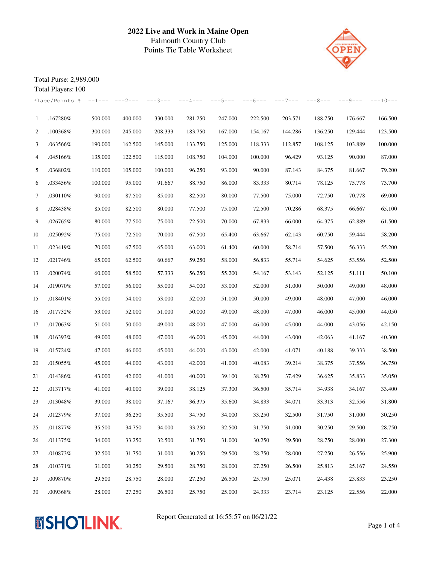

Total Purse: 2,989.000

|                | Total Players: 100 |          |           |           |           |           |           |           |           |         |            |
|----------------|--------------------|----------|-----------|-----------|-----------|-----------|-----------|-----------|-----------|---------|------------|
|                | Place/Points %     | $--1---$ | $---2---$ | $---3---$ | $---4---$ | $---5---$ | $---6---$ | $---7---$ | $---8---$ | ---9--- | $---10---$ |
| $\mathbf{1}$   | .167280%           | 500.000  | 400.000   | 330.000   | 281.250   | 247.000   | 222.500   | 203.571   | 188.750   | 176.667 | 166.500    |
| 2              | .100368%           | 300.000  | 245.000   | 208.333   | 183.750   | 167.000   | 154.167   | 144.286   | 136.250   | 129.444 | 123.500    |
| 3              | .063566%           | 190.000  | 162.500   | 145.000   | 133.750   | 125.000   | 118.333   | 112.857   | 108.125   | 103.889 | 100.000    |
| $\overline{4}$ | .045166%           | 135.000  | 122.500   | 115.000   | 108.750   | 104.000   | 100.000   | 96.429    | 93.125    | 90.000  | 87.000     |
| 5              | .036802%           | 110.000  | 105.000   | 100.000   | 96.250    | 93.000    | 90.000    | 87.143    | 84.375    | 81.667  | 79.200     |
| 6              | .033456%           | 100.000  | 95.000    | 91.667    | 88.750    | 86.000    | 83.333    | 80.714    | 78.125    | 75.778  | 73.700     |
| 7              | .030110%           | 90.000   | 87.500    | 85.000    | 82.500    | 80.000    | 77.500    | 75.000    | 72.750    | 70.778  | 69.000     |
| 8              | .028438%           | 85.000   | 82.500    | 80.000    | 77.500    | 75.000    | 72.500    | 70.286    | 68.375    | 66.667  | 65.100     |
| 9              | .026765%           | 80.000   | 77.500    | 75.000    | 72.500    | 70.000    | 67.833    | 66.000    | 64.375    | 62.889  | 61.500     |
| 10             | .025092%           | 75.000   | 72.500    | 70.000    | 67.500    | 65.400    | 63.667    | 62.143    | 60.750    | 59.444  | 58.200     |
| 11             | .023419%           | 70.000   | 67.500    | 65.000    | 63.000    | 61.400    | 60.000    | 58.714    | 57.500    | 56.333  | 55.200     |
| 12             | .021746%           | 65.000   | 62.500    | 60.667    | 59.250    | 58.000    | 56.833    | 55.714    | 54.625    | 53.556  | 52.500     |
| 13             | .020074%           | 60.000   | 58.500    | 57.333    | 56.250    | 55.200    | 54.167    | 53.143    | 52.125    | 51.111  | 50.100     |
| 14             | .019070%           | 57.000   | 56.000    | 55.000    | 54.000    | 53.000    | 52.000    | 51.000    | 50.000    | 49.000  | 48.000     |
| 15             | .018401%           | 55.000   | 54.000    | 53.000    | 52.000    | 51.000    | 50.000    | 49.000    | 48.000    | 47.000  | 46.000     |
| 16             | .017732%           | 53.000   | 52.000    | 51.000    | 50.000    | 49.000    | 48.000    | 47.000    | 46.000    | 45.000  | 44.050     |
| 17             | .017063%           | 51.000   | 50.000    | 49.000    | 48.000    | 47.000    | 46.000    | 45.000    | 44.000    | 43.056  | 42.150     |
| 18             | .016393%           | 49.000   | 48.000    | 47.000    | 46.000    | 45.000    | 44.000    | 43.000    | 42.063    | 41.167  | 40.300     |
| 19             | .015724%           | 47.000   | 46.000    | 45.000    | 44.000    | 43.000    | 42.000    | 41.071    | 40.188    | 39.333  | 38.500     |
| 20             | .015055%           | 45.000   | 44.000    | 43.000    | 42.000    | 41.000    | 40.083    | 39.214    | 38.375    | 37.556  | 36.750     |
| 21             | .014386%           | 43.000   | 42.000    | 41.000    | 40.000    | 39.100    | 38.250    | 37.429    | 36.625    | 35.833  | 35.050     |
| 22             | .013717%           | 41.000   | 40.000    | 39.000    | 38.125    | 37.300    | 36.500    | 35.714    | 34.938    | 34.167  | 33.400     |
| 23             | .013048%           | 39.000   | 38.000    | 37.167    | 36.375    | 35.600    | 34.833    | 34.071    | 33.313    | 32.556  | 31.800     |
| 24             | .012379%           | 37.000   | 36.250    | 35.500    | 34.750    | 34.000    | 33.250    | 32.500    | 31.750    | 31.000  | 30.250     |
| 25             | .011877%           | 35.500   | 34.750    | 34.000    | 33.250    | 32.500    | 31.750    | 31.000    | 30.250    | 29.500  | 28.750     |
| 26             | .011375%           | 34.000   | 33.250    | 32.500    | 31.750    | 31.000    | 30.250    | 29.500    | 28.750    | 28.000  | 27.300     |
| 27             | .010873%           | 32.500   | 31.750    | 31.000    | 30.250    | 29.500    | 28.750    | 28.000    | 27.250    | 26.556  | 25.900     |
| 28             | .010371%           | 31.000   | 30.250    | 29.500    | 28.750    | 28.000    | 27.250    | 26.500    | 25.813    | 25.167  | 24.550     |
| 29             | .009870%           | 29.500   | 28.750    | 28.000    | 27.250    | 26.500    | 25.750    | 25.071    | 24.438    | 23.833  | 23.250     |
| 30             | .009368%           | 28.000   | 27.250    | 26.500    | 25.750    | 25.000    | 24.333    | 23.714    | 23.125    | 22.556  | 22.000     |



Report Generated at 16:55:57 on 06/21/22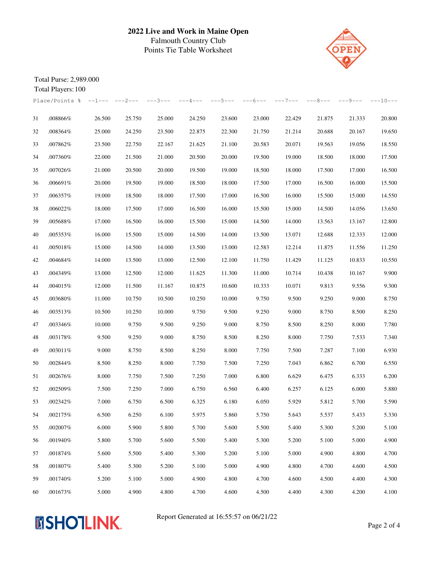

Total Purse: 2,989.000

|    | Total Players: 100                        |        |        |           |           |           |           |           |           |           |            |
|----|-------------------------------------------|--------|--------|-----------|-----------|-----------|-----------|-----------|-----------|-----------|------------|
|    | Place/Points $\frac{1}{6}$ --1--- ---2--- |        |        | $---3---$ | $---4---$ | $---5---$ | $---6---$ | $---7---$ | $---8---$ | $---9---$ | $---10---$ |
| 31 | .008866%                                  | 26.500 | 25.750 | 25.000    | 24.250    | 23.600    | 23.000    | 22.429    | 21.875    | 21.333    | 20.800     |
| 32 | .008364%                                  | 25.000 | 24.250 | 23.500    | 22.875    | 22.300    | 21.750    | 21.214    | 20.688    | 20.167    | 19.650     |
| 33 | .007862%                                  | 23.500 | 22.750 | 22.167    | 21.625    | 21.100    | 20.583    | 20.071    | 19.563    | 19.056    | 18.550     |
| 34 | .007360%                                  | 22.000 | 21.500 | 21.000    | 20.500    | 20.000    | 19.500    | 19.000    | 18.500    | 18.000    | 17.500     |
| 35 | .007026%                                  | 21.000 | 20.500 | 20.000    | 19.500    | 19.000    | 18.500    | 18.000    | 17.500    | 17.000    | 16.500     |
| 36 | .006691%                                  | 20.000 | 19.500 | 19.000    | 18.500    | 18.000    | 17.500    | 17.000    | 16.500    | 16.000    | 15.500     |
| 37 | .006357%                                  | 19.000 | 18.500 | 18.000    | 17.500    | 17.000    | 16.500    | 16.000    | 15.500    | 15.000    | 14.550     |
| 38 | .006022%                                  | 18.000 | 17.500 | 17.000    | 16.500    | 16.000    | 15.500    | 15.000    | 14.500    | 14.056    | 13.650     |
| 39 | .005688%                                  | 17.000 | 16.500 | 16.000    | 15.500    | 15.000    | 14.500    | 14.000    | 13.563    | 13.167    | 12.800     |
| 40 | .005353%                                  | 16.000 | 15.500 | 15.000    | 14.500    | 14.000    | 13.500    | 13.071    | 12.688    | 12.333    | 12.000     |
| 41 | .005018%                                  | 15.000 | 14.500 | 14.000    | 13.500    | 13.000    | 12.583    | 12.214    | 11.875    | 11.556    | 11.250     |
| 42 | .004684%                                  | 14.000 | 13.500 | 13.000    | 12.500    | 12.100    | 11.750    | 11.429    | 11.125    | 10.833    | 10.550     |
| 43 | .004349%                                  | 13.000 | 12.500 | 12.000    | 11.625    | 11.300    | 11.000    | 10.714    | 10.438    | 10.167    | 9.900      |
| 44 | .004015%                                  | 12.000 | 11.500 | 11.167    | 10.875    | 10.600    | 10.333    | 10.071    | 9.813     | 9.556     | 9.300      |
| 45 | .003680%                                  | 11.000 | 10.750 | 10.500    | 10.250    | 10.000    | 9.750     | 9.500     | 9.250     | 9.000     | 8.750      |
| 46 | .003513%                                  | 10.500 | 10.250 | 10.000    | 9.750     | 9.500     | 9.250     | 9.000     | 8.750     | 8.500     | 8.250      |
| 47 | .003346%                                  | 10.000 | 9.750  | 9.500     | 9.250     | 9.000     | 8.750     | 8.500     | 8.250     | 8.000     | 7.780      |
| 48 | .003178%                                  | 9.500  | 9.250  | 9.000     | 8.750     | 8.500     | 8.250     | 8.000     | 7.750     | 7.533     | 7.340      |
| 49 | .003011%                                  | 9.000  | 8.750  | 8.500     | 8.250     | 8.000     | 7.750     | 7.500     | 7.287     | 7.100     | 6.930      |
| 50 | .002844%                                  | 8.500  | 8.250  | 8.000     | 7.750     | 7.500     | 7.250     | 7.043     | 6.862     | 6.700     | 6.550      |
| 51 | .002676%                                  | 8.000  | 7.750  | 7.500     | 7.250     | 7.000     | 6.800     | 6.629     | 6.475     | 6.333     | 6.200      |
| 52 | .002509%                                  | 7.500  | 7.250  | 7.000     | 6.750     | 6.560     | 6.400     | 6.257     | 6.125     | 6.000     | 5.880      |
| 53 | .002342%                                  | 7.000  | 6.750  | 6.500     | 6.325     | 6.180     | 6.050     | 5.929     | 5.812     | 5.700     | 5.590      |
| 54 | .002175%                                  | 6.500  | 6.250  | 6.100     | 5.975     | 5.860     | 5.750     | 5.643     | 5.537     | 5.433     | 5.330      |
| 55 | .002007%                                  | 6.000  | 5.900  | 5.800     | 5.700     | 5.600     | 5.500     | 5.400     | 5.300     | 5.200     | 5.100      |
| 56 | .001940%                                  | 5.800  | 5.700  | 5.600     | 5.500     | 5.400     | 5.300     | 5.200     | 5.100     | 5.000     | 4.900      |
| 57 | .001874%                                  | 5.600  | 5.500  | 5.400     | 5.300     | 5.200     | 5.100     | 5.000     | 4.900     | 4.800     | 4.700      |
| 58 | .001807%                                  | 5.400  | 5.300  | 5.200     | 5.100     | 5.000     | 4.900     | 4.800     | 4.700     | 4.600     | 4.500      |
| 59 | .001740%                                  | 5.200  | 5.100  | 5.000     | 4.900     | 4.800     | 4.700     | 4.600     | 4.500     | 4.400     | 4.300      |
| 60 | .001673%                                  | 5.000  | 4.900  | 4.800     | 4.700     | 4.600     | 4.500     | 4.400     | 4.300     | 4.200     | 4.100      |



Report Generated at 16:55:57 on 06/21/22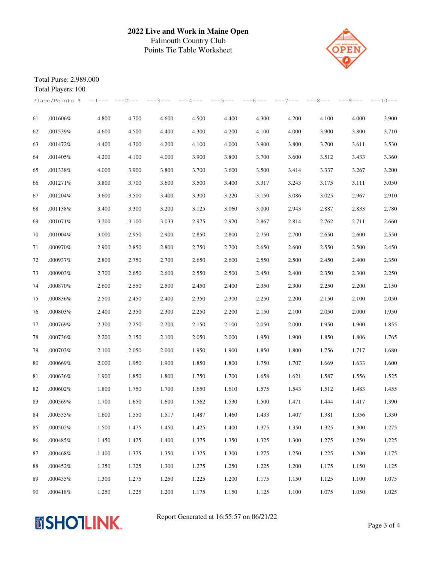

Total Purse: 2,989.000

|    | Total Players: 100                        |       |       |           |           |           |           |           |           |         |            |
|----|-------------------------------------------|-------|-------|-----------|-----------|-----------|-----------|-----------|-----------|---------|------------|
|    | Place/Points $\frac{1}{6}$ --1--- ---2--- |       |       | $---3---$ | $---4---$ | $---5---$ | $---6---$ | $---7---$ | $---8---$ | ---9--- | $---10---$ |
| 61 | .001606%                                  | 4.800 | 4.700 | 4.600     | 4.500     | 4.400     | 4.300     | 4.200     | 4.100     | 4.000   | 3.900      |
| 62 | .001539%                                  | 4.600 | 4.500 | 4.400     | 4.300     | 4.200     | 4.100     | 4.000     | 3.900     | 3.800   | 3.710      |
| 63 | .001472%                                  | 4.400 | 4.300 | 4.200     | 4.100     | 4.000     | 3.900     | 3.800     | 3.700     | 3.611   | 3.530      |
| 64 | .001405%                                  | 4.200 | 4.100 | 4.000     | 3.900     | 3.800     | 3.700     | 3.600     | 3.512     | 3.433   | 3.360      |
| 65 | .001338%                                  | 4.000 | 3.900 | 3.800     | 3.700     | 3.600     | 3.500     | 3.414     | 3.337     | 3.267   | 3.200      |
| 66 | .001271%                                  | 3.800 | 3.700 | 3.600     | 3.500     | 3.400     | 3.317     | 3.243     | 3.175     | 3.111   | 3.050      |
| 67 | .001204%                                  | 3.600 | 3.500 | 3.400     | 3.300     | 3.220     | 3.150     | 3.086     | 3.025     | 2.967   | 2.910      |
| 68 | .001138%                                  | 3.400 | 3.300 | 3.200     | 3.125     | 3.060     | 3.000     | 2.943     | 2.887     | 2.833   | 2.780      |
| 69 | .001071%                                  | 3.200 | 3.100 | 3.033     | 2.975     | 2.920     | 2.867     | 2.814     | 2.762     | 2.711   | 2.660      |
| 70 | .001004%                                  | 3.000 | 2.950 | 2.900     | 2.850     | 2.800     | 2.750     | 2.700     | 2.650     | 2.600   | 2.550      |
| 71 | .000970%                                  | 2.900 | 2.850 | 2.800     | 2.750     | 2.700     | 2.650     | 2.600     | 2.550     | 2.500   | 2.450      |
| 72 | .000937%                                  | 2.800 | 2.750 | 2.700     | 2.650     | 2.600     | 2.550     | 2.500     | 2.450     | 2.400   | 2.350      |
| 73 | .000903%                                  | 2.700 | 2.650 | 2.600     | 2.550     | 2.500     | 2.450     | 2.400     | 2.350     | 2.300   | 2.250      |
| 74 | .000870%                                  | 2.600 | 2.550 | 2.500     | 2.450     | 2.400     | 2.350     | 2.300     | 2.250     | 2.200   | 2.150      |
| 75 | .000836%                                  | 2.500 | 2.450 | 2.400     | 2.350     | 2.300     | 2.250     | 2.200     | 2.150     | 2.100   | 2.050      |
| 76 | .000803%                                  | 2.400 | 2.350 | 2.300     | 2.250     | 2.200     | 2.150     | 2.100     | 2.050     | 2.000   | 1.950      |
| 77 | .000769%                                  | 2.300 | 2.250 | 2.200     | 2.150     | 2.100     | 2.050     | 2.000     | 1.950     | 1.900   | 1.855      |
| 78 | .000736%                                  | 2.200 | 2.150 | 2.100     | 2.050     | 2.000     | 1.950     | 1.900     | 1.850     | 1.806   | 1.765      |
| 79 | .000703%                                  | 2.100 | 2.050 | 2.000     | 1.950     | 1.900     | 1.850     | 1.800     | 1.756     | 1.717   | 1.680      |
| 80 | .000669%                                  | 2.000 | 1.950 | 1.900     | 1.850     | 1.800     | 1.750     | 1.707     | 1.669     | 1.633   | 1.600      |
| 81 | .000636%                                  | 1.900 | 1.850 | 1.800     | 1.750     | 1.700     | 1.658     | 1.621     | 1.587     | 1.556   | 1.525      |
| 82 | .000602%                                  | 1.800 | 1.750 | 1.700     | 1.650     | 1.610     | 1.575     | 1.543     | 1.512     | 1.483   | 1.455      |
| 83 | .000569%                                  | 1.700 | 1.650 | 1.600     | 1.562     | 1.530     | 1.500     | 1.471     | 1.444     | 1.417   | 1.390      |
| 84 | .000535%                                  | 1.600 | 1.550 | 1.517     | 1.487     | 1.460     | 1.433     | 1.407     | 1.381     | 1.356   | 1.330      |
| 85 | .000502%                                  | 1.500 | 1.475 | 1.450     | 1.425     | 1.400     | 1.375     | 1.350     | 1.325     | 1.300   | 1.275      |
| 86 | .000485%                                  | 1.450 | 1.425 | 1.400     | 1.375     | 1.350     | 1.325     | 1.300     | 1.275     | 1.250   | 1.225      |
| 87 | .000468%                                  | 1.400 | 1.375 | 1.350     | 1.325     | 1.300     | 1.275     | 1.250     | 1.225     | 1.200   | 1.175      |
| 88 | .000452%                                  | 1.350 | 1.325 | 1.300     | 1.275     | 1.250     | 1.225     | 1.200     | 1.175     | 1.150   | 1.125      |
| 89 | .000435%                                  | 1.300 | 1.275 | 1.250     | 1.225     | 1.200     | 1.175     | 1.150     | 1.125     | 1.100   | 1.075      |
| 90 | .000418%                                  | 1.250 | 1.225 | 1.200     | 1.175     | 1.150     | 1.125     | 1.100     | 1.075     | 1.050   | 1.025      |



Report Generated at 16:55:57 on 06/21/22